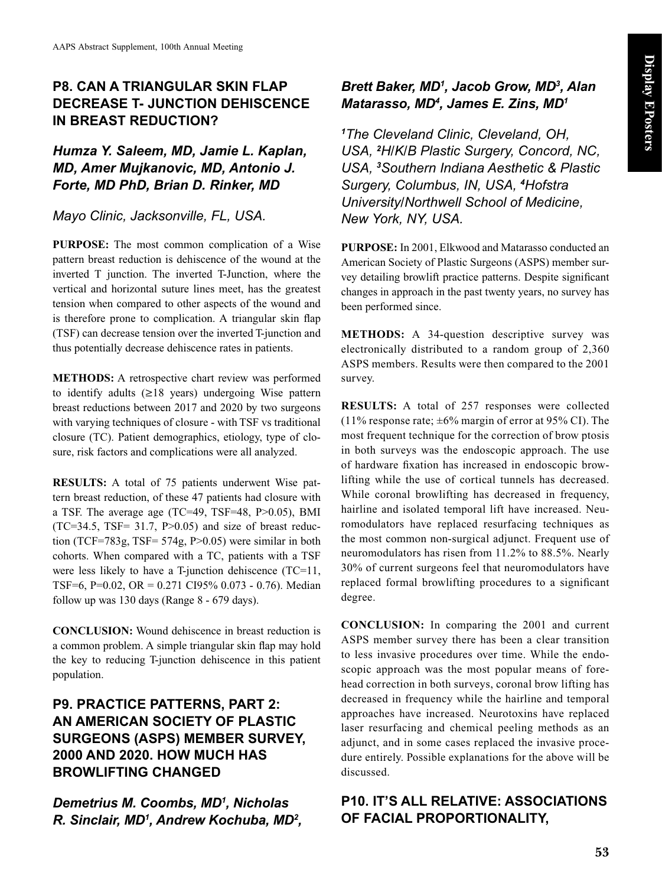## **P8. CAN A TRIANGULAR SKIN FLAP DECREASE T- JUNCTION DEHISCENCE IN BREAST REDUCTION?**

*Humza Y. Saleem, MD, Jamie L. Kaplan, MD, Amer Mujkanovic, MD, Antonio J. Forte, MD PhD, Brian D. Rinker, MD*

*Mayo Clinic, Jacksonville, FL, USA.*

**PURPOSE:** The most common complication of a Wise pattern breast reduction is dehiscence of the wound at the inverted T junction. The inverted T-Junction, where the vertical and horizontal suture lines meet, has the greatest tension when compared to other aspects of the wound and is therefore prone to complication. A triangular skin flap (TSF) can decrease tension over the inverted T-junction and thus potentially decrease dehiscence rates in patients.

**METHODS:** A retrospective chart review was performed to identify adults (≥18 years) undergoing Wise pattern breast reductions between 2017 and 2020 by two surgeons with varying techniques of closure - with TSF vs traditional closure (TC). Patient demographics, etiology, type of closure, risk factors and complications were all analyzed.

**RESULTS:** A total of 75 patients underwent Wise pattern breast reduction, of these 47 patients had closure with a TSF. The average age (TC=49, TSF=48, P>0.05), BMI  $(TC=34.5, TSF= 31.7, P>0.05)$  and size of breast reduction (TCF=783g, TSF= 574g, P>0.05) were similar in both cohorts. When compared with a TC, patients with a TSF were less likely to have a T-junction dehiscence (TC=11, TSF=6, P=0.02, OR = 0.271 CI95% 0.073 - 0.76). Median follow up was 130 days (Range 8 - 679 days).

**CONCLUSION:** Wound dehiscence in breast reduction is a common problem. A simple triangular skin flap may hold the key to reducing T-junction dehiscence in this patient population.

# **P9. PRACTICE PATTERNS, PART 2: AN AMERICAN SOCIETY OF PLASTIC SURGEONS (ASPS) MEMBER SURVEY, 2000 AND 2020. HOW MUCH HAS BROWLIFTING CHANGED**

*Demetrius M. Coombs, MD1 , Nicholas R. Sinclair, MD1 , Andrew Kochuba, MD2 ,* 

#### *Brett Baker, MD1 , Jacob Grow, MD3 , Alan Matarasso, MD4 , James E. Zins, MD1*

*1 The Cleveland Clinic, Cleveland, OH, USA, <sup>2</sup> H/K/B Plastic Surgery, Concord, NC, USA, <sup>3</sup> Southern Indiana Aesthetic & Plastic Surgery, Columbus, IN, USA, <sup>4</sup> Hofstra University/Northwell School of Medicine, New York, NY, USA.*

**PURPOSE:** In 2001, Elkwood and Matarasso conducted an American Society of Plastic Surgeons (ASPS) member survey detailing browlift practice patterns. Despite significant changes in approach in the past twenty years, no survey has been performed since.

**METHODS:** A 34-question descriptive survey was electronically distributed to a random group of 2,360 ASPS members. Results were then compared to the 2001 survey.

**RESULTS:** A total of 257 responses were collected (11% response rate;  $\pm 6\%$  margin of error at 95% CI). The most frequent technique for the correction of brow ptosis in both surveys was the endoscopic approach. The use of hardware fixation has increased in endoscopic browlifting while the use of cortical tunnels has decreased. While coronal browlifting has decreased in frequency, hairline and isolated temporal lift have increased. Neuromodulators have replaced resurfacing techniques as the most common non-surgical adjunct. Frequent use of neuromodulators has risen from 11.2% to 88.5%. Nearly 30% of current surgeons feel that neuromodulators have replaced formal browlifting procedures to a significant degree.

**CONCLUSION:** In comparing the 2001 and current ASPS member survey there has been a clear transition to less invasive procedures over time. While the endoscopic approach was the most popular means of forehead correction in both surveys, coronal brow lifting has decreased in frequency while the hairline and temporal approaches have increased. Neurotoxins have replaced laser resurfacing and chemical peeling methods as an adjunct, and in some cases replaced the invasive procedure entirely. Possible explanations for the above will be discussed.

# **P10. IT'S ALL RELATIVE: ASSOCIATIONS OF FACIAL PROPORTIONALITY,**